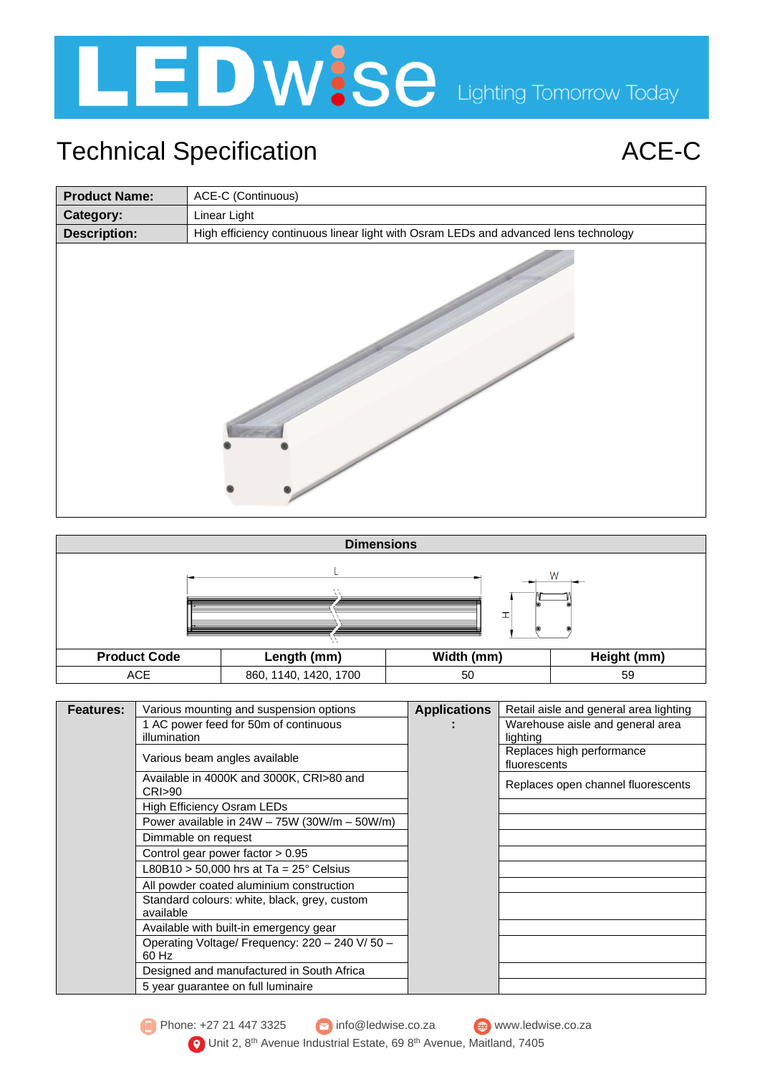

## Technical Specification **ACE-C**

| <b>Product Name:</b> | ACE-C (Continuous)                                                                   |
|----------------------|--------------------------------------------------------------------------------------|
| Category:            | Linear Light                                                                         |
| <b>Description:</b>  | High efficiency continuous linear light with Osram LEDs and advanced lens technology |
|                      |                                                                                      |



| <b>Features:</b> | Various mounting and suspension options              | <b>Applications</b> | Retail aisle and general area lighting    |  |  |
|------------------|------------------------------------------------------|---------------------|-------------------------------------------|--|--|
|                  | 1 AC power feed for 50m of continuous                |                     | Warehouse aisle and general area          |  |  |
|                  | illumination                                         |                     | lighting                                  |  |  |
|                  | Various beam angles available                        |                     | Replaces high performance<br>fluorescents |  |  |
|                  | Available in 4000K and 3000K, CRI>80 and<br>CRI > 90 |                     | Replaces open channel fluorescents        |  |  |
|                  | High Efficiency Osram LEDs                           |                     |                                           |  |  |
|                  | Power available in $24W - 75W$ (30W/m $- 50W/m$ )    |                     |                                           |  |  |
|                  | Dimmable on request                                  |                     |                                           |  |  |
|                  | Control gear power factor $> 0.95$                   |                     |                                           |  |  |
|                  | L80B10 > 50,000 hrs at Ta = 25° Celsius              |                     |                                           |  |  |
|                  | All powder coated aluminium construction             |                     |                                           |  |  |
|                  | Standard colours: white, black, grey, custom         |                     |                                           |  |  |
|                  | available                                            |                     |                                           |  |  |
|                  | Available with built-in emergency gear               |                     |                                           |  |  |
|                  | Operating Voltage/ Frequency: 220 - 240 V/ 50 -      |                     |                                           |  |  |
|                  | 60 Hz                                                |                     |                                           |  |  |
|                  | Designed and manufactured in South Africa            |                     |                                           |  |  |
|                  | 5 year guarantee on full luminaire                   |                     |                                           |  |  |

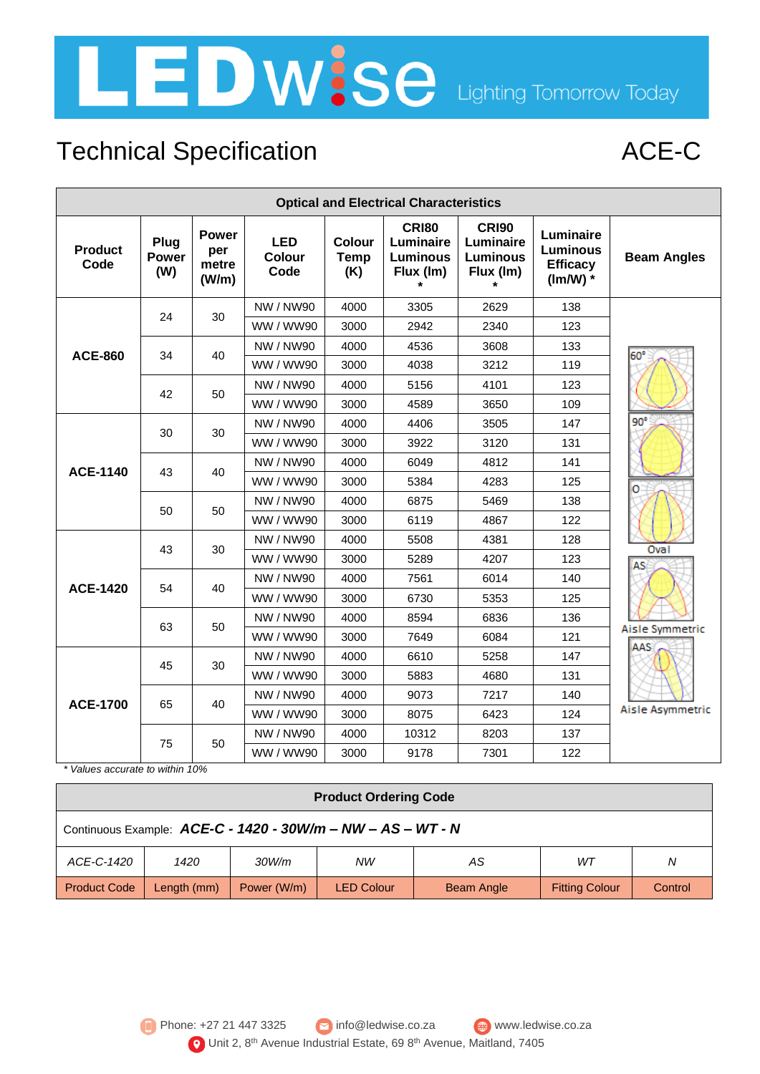

# Technical Specification **ACE-C**

| <b>Optical and Electrical Characteristics</b> |                             |                                       |                                     |                              |                                                           |                                                           |                                                               |                    |                 |      |      |
|-----------------------------------------------|-----------------------------|---------------------------------------|-------------------------------------|------------------------------|-----------------------------------------------------------|-----------------------------------------------------------|---------------------------------------------------------------|--------------------|-----------------|------|------|
| <b>Product</b><br>Code                        | Plug<br><b>Power</b><br>(W) | <b>Power</b><br>per<br>metre<br>(W/m) | <b>LED</b><br><b>Colour</b><br>Code | Colour<br><b>Temp</b><br>(K) | <b>CRI80</b><br>Luminaire<br><b>Luminous</b><br>Flux (Im) | <b>CRI90</b><br>Luminaire<br><b>Luminous</b><br>Flux (Im) | Luminaire<br><b>Luminous</b><br><b>Efficacy</b><br>$(lm/W)$ * | <b>Beam Angles</b> |                 |      |      |
|                                               | 24                          | 30                                    | NW / NW90                           | 4000                         | 3305                                                      | 2629                                                      | 138                                                           |                    |                 |      |      |
|                                               |                             |                                       | WW / WW90                           | 3000                         | 2942                                                      | 2340                                                      | 123                                                           |                    |                 |      |      |
| <b>ACE-860</b>                                | 34                          | 40                                    | NW / NW90                           | 4000                         | 4536                                                      | 3608                                                      | 133                                                           | 60°                |                 |      |      |
|                                               |                             |                                       | WW / WW90                           | 3000                         | 4038                                                      | 3212                                                      | 119                                                           |                    |                 |      |      |
|                                               |                             | 50                                    | NW / NW90                           | 4000                         | 5156                                                      | 4101                                                      | 123                                                           |                    |                 |      |      |
|                                               | 42                          |                                       | WW / WW90                           | 3000                         | 4589                                                      | 3650                                                      | 109                                                           |                    |                 |      |      |
|                                               |                             |                                       | NW / NW90                           | 4000                         | 4406                                                      | 3505                                                      | 147                                                           | $90^\circ$         |                 |      |      |
|                                               | 30                          | 30                                    | WW / WW90                           | 3000                         | 3922                                                      | 3120                                                      | 131                                                           |                    |                 |      |      |
|                                               | 43                          |                                       | NW / NW90                           | 4000                         | 6049                                                      | 4812                                                      | 141                                                           | ο                  |                 |      |      |
| <b>ACE-1140</b>                               |                             | 40                                    | WW / WW90                           | 3000                         | 5384                                                      | 4283                                                      | 125                                                           |                    |                 |      |      |
|                                               | 50                          |                                       |                                     |                              | NW / NW90                                                 | 4000                                                      | 6875                                                          | 5469               | 138             |      |      |
|                                               |                             |                                       |                                     |                              |                                                           |                                                           |                                                               | 50                 | WW / WW90       | 3000 | 6119 |
|                                               | 43                          |                                       |                                     |                              |                                                           | NW / NW90                                                 | 4000                                                          | 5508               | 4381            | 128  | Oval |
|                                               |                             | 30                                    | WW / WW90                           | 3000                         | 5289                                                      | 4207                                                      | 123                                                           | AS                 |                 |      |      |
|                                               | 54                          | 40                                    | NW / NW90                           | 4000                         | 7561                                                      | 6014                                                      | 140                                                           |                    |                 |      |      |
| <b>ACE-1420</b>                               |                             |                                       | WW / WW90                           | 3000                         | 6730                                                      | 5353                                                      | 125                                                           |                    |                 |      |      |
|                                               | 63                          |                                       | NW / NW90                           | 4000                         | 8594                                                      | 6836                                                      | 136                                                           |                    |                 |      |      |
|                                               |                             |                                       | 50                                  | WW / WW90                    | 3000                                                      | 7649                                                      | 6084                                                          | 121                | Aisle Symmetric |      |      |
|                                               | 45                          |                                       | NW / NW90                           | 4000                         | 6610                                                      | 5258                                                      | 147                                                           | AAS                |                 |      |      |
|                                               |                             | 30                                    | WW / WW90                           | 3000                         | 5883                                                      | 4680                                                      | 131                                                           |                    |                 |      |      |
|                                               |                             |                                       |                                     | NW / NW90                    | 4000                                                      | 9073                                                      | 7217                                                          | 140                |                 |      |      |
| <b>ACE-1700</b>                               | 65                          | 40                                    | WW / WW90                           | 3000                         | 8075                                                      | 6423                                                      | 124                                                           | Aisle Asymmetric   |                 |      |      |
|                                               |                             |                                       | NW / NW90                           | 4000                         | 10312                                                     | 8203                                                      | 137                                                           |                    |                 |      |      |
|                                               | 75                          |                                       |                                     | 50                           | WW / WW90                                                 | 3000                                                      | 9178                                                          | 7301               | 122             |      |      |

*\* Values accurate to within 10%*

| <b>Product Ordering Code</b>                                |             |                          |            |            |                       |         |
|-------------------------------------------------------------|-------------|--------------------------|------------|------------|-----------------------|---------|
| Continuous Example: ACE-C - 1420 - 30W/m - NW - AS - WT - N |             |                          |            |            |                       |         |
| ACE-C-1420                                                  | 1420        | 30W/m<br><b>NW</b><br>AS |            |            | WT                    | N       |
| <b>Product Code</b>                                         | Length (mm) | Power (W/m)              | LED Colour | Beam Angle | <b>Fitting Colour</b> | Control |